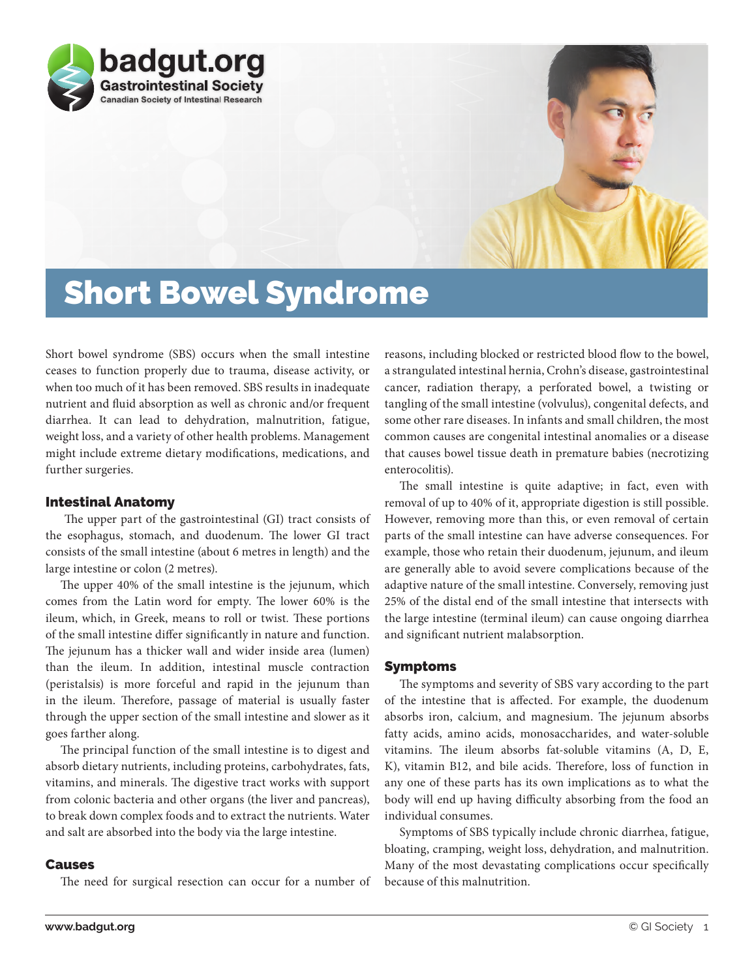

# Short Bowel Syndrome

Short bowel syndrome (SBS) occurs when the small intestine ceases to function properly due to trauma, disease activity, or when too much of it has been removed. SBS results in inadequate nutrient and fluid absorption as well as chronic and/or frequent diarrhea. It can lead to dehydration, malnutrition, fatigue, weight loss, and a variety of other health problems. Management might include extreme dietary modifications, medications, and further surgeries.

# Intestinal Anatomy

 The upper part of the gastrointestinal (GI) tract consists of the esophagus, stomach, and duodenum. The lower GI tract consists of the small intestine (about 6 metres in length) and the large intestine or colon (2 metres).

The upper 40% of the small intestine is the jejunum, which comes from the Latin word for empty. The lower 60% is the ileum, which, in Greek, means to roll or twist*.* These portions of the small intestine differ significantly in nature and function. The jejunum has a thicker wall and wider inside area (lumen) than the ileum. In addition, intestinal muscle contraction (peristalsis) is more forceful and rapid in the jejunum than in the ileum. Therefore, passage of material is usually faster through the upper section of the small intestine and slower as it goes farther along.

The principal function of the small intestine is to digest and absorb dietary nutrients, including proteins, carbohydrates, fats, vitamins, and minerals. The digestive tract works with support from colonic bacteria and other organs (the liver and pancreas), to break down complex foods and to extract the nutrients. Water and salt are absorbed into the body via the large intestine.

## Causes

The need for surgical resection can occur for a number of

reasons, including blocked or restricted blood flow to the bowel, a strangulated intestinal hernia, Crohn's disease, gastrointestinal cancer, radiation therapy, a perforated bowel, a twisting or tangling of the small intestine (volvulus), congenital defects, and some other rare diseases. In infants and small children, the most common causes are congenital intestinal anomalies or a disease that causes bowel tissue death in premature babies (necrotizing enterocolitis).

The small intestine is quite adaptive; in fact, even with removal of up to 40% of it, appropriate digestion is still possible. However, removing more than this, or even removal of certain parts of the small intestine can have adverse consequences. For example, those who retain their duodenum, jejunum, and ileum are generally able to avoid severe complications because of the adaptive nature of the small intestine. Conversely, removing just 25% of the distal end of the small intestine that intersects with the large intestine (terminal ileum) can cause ongoing diarrhea and significant nutrient malabsorption.

### Symptoms

The symptoms and severity of SBS vary according to the part of the intestine that is affected. For example, the duodenum absorbs iron, calcium, and magnesium. The jejunum absorbs fatty acids, amino acids, monosaccharides, and water-soluble vitamins. The ileum absorbs fat-soluble vitamins (A, D, E, K), vitamin B12, and bile acids. Therefore, loss of function in any one of these parts has its own implications as to what the body will end up having difficulty absorbing from the food an individual consumes.

Symptoms of SBS typically include chronic diarrhea, fatigue, bloating, cramping, weight loss, dehydration, and malnutrition. Many of the most devastating complications occur specifically because of this malnutrition.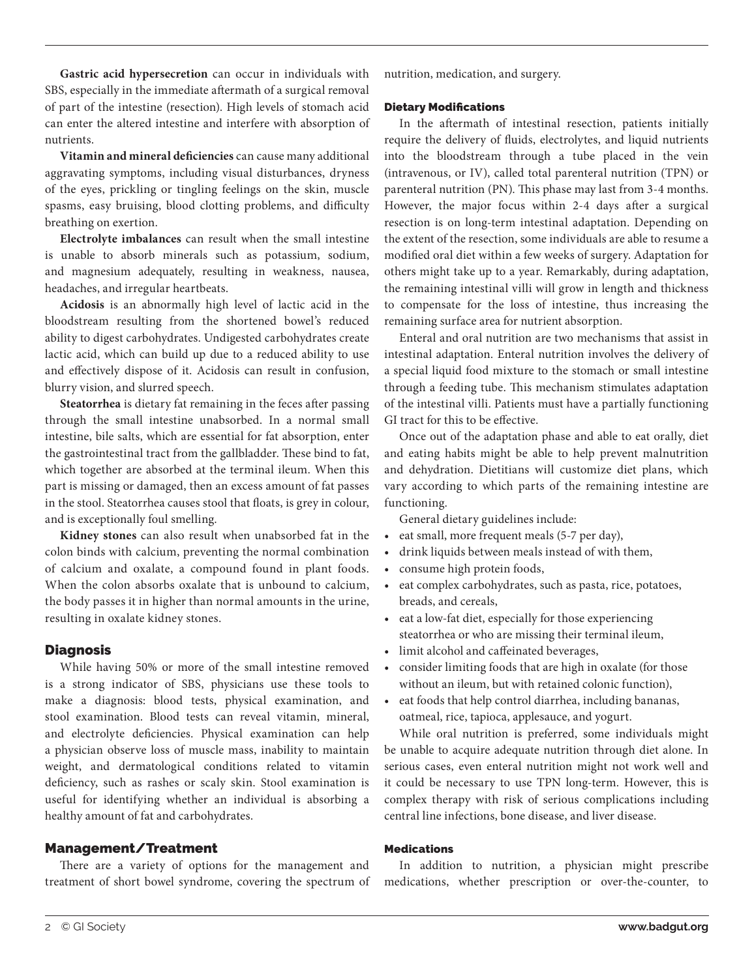**Gastric acid hypersecretion** can occur in individuals with SBS, especially in the immediate aftermath of a surgical removal of part of the intestine (resection). High levels of stomach acid can enter the altered intestine and interfere with absorption of nutrients.

**Vitamin and mineral deficiencies** can cause many additional aggravating symptoms, including visual disturbances, dryness of the eyes, prickling or tingling feelings on the skin, muscle spasms, easy bruising, blood clotting problems, and difficulty breathing on exertion.

**Electrolyte imbalances** can result when the small intestine is unable to absorb minerals such as potassium, sodium, and magnesium adequately, resulting in weakness, nausea, headaches, and irregular heartbeats.

**Acidosis** is an abnormally high level of lactic acid in the bloodstream resulting from the shortened bowel's reduced ability to digest carbohydrates. Undigested carbohydrates create lactic acid, which can build up due to a reduced ability to use and effectively dispose of it. Acidosis can result in confusion, blurry vision, and slurred speech.

**Steatorrhea** is dietary fat remaining in the feces after passing through the small intestine unabsorbed. In a normal small intestine, bile salts, which are essential for fat absorption, enter the gastrointestinal tract from the gallbladder. These bind to fat, which together are absorbed at the terminal ileum. When this part is missing or damaged, then an excess amount of fat passes in the stool. Steatorrhea causes stool that floats, is grey in colour, and is exceptionally foul smelling.

**Kidney stones** can also result when unabsorbed fat in the colon binds with calcium, preventing the normal combination of calcium and oxalate, a compound found in plant foods. When the colon absorbs oxalate that is unbound to calcium, the body passes it in higher than normal amounts in the urine, resulting in oxalate kidney stones.

#### Diagnosis

While having 50% or more of the small intestine removed is a strong indicator of SBS, physicians use these tools to make a diagnosis: blood tests, physical examination, and stool examination. Blood tests can reveal vitamin, mineral, and electrolyte deficiencies. Physical examination can help a physician observe loss of muscle mass, inability to maintain weight, and dermatological conditions related to vitamin deficiency, such as rashes or scaly skin. Stool examination is useful for identifying whether an individual is absorbing a healthy amount of fat and carbohydrates.

#### Management/Treatment

There are a variety of options for the management and treatment of short bowel syndrome, covering the spectrum of nutrition, medication, and surgery.

#### Dietary Modifications

In the aftermath of intestinal resection, patients initially require the delivery of fluids, electrolytes, and liquid nutrients into the bloodstream through a tube placed in the vein (intravenous, or IV), called total parenteral nutrition (TPN) or parenteral nutrition (PN). This phase may last from 3-4 months. However, the major focus within 2-4 days after a surgical resection is on long-term intestinal adaptation. Depending on the extent of the resection, some individuals are able to resume a modified oral diet within a few weeks of surgery. Adaptation for others might take up to a year. Remarkably, during adaptation, the remaining intestinal villi will grow in length and thickness to compensate for the loss of intestine, thus increasing the remaining surface area for nutrient absorption.

Enteral and oral nutrition are two mechanisms that assist in intestinal adaptation. Enteral nutrition involves the delivery of a special liquid food mixture to the stomach or small intestine through a feeding tube. This mechanism stimulates adaptation of the intestinal villi. Patients must have a partially functioning GI tract for this to be effective.

Once out of the adaptation phase and able to eat orally, diet and eating habits might be able to help prevent malnutrition and dehydration. Dietitians will customize diet plans, which vary according to which parts of the remaining intestine are functioning.

General dietary guidelines include:

- eat small, more frequent meals (5-7 per day),
- drink liquids between meals instead of with them,
- consume high protein foods,
- eat complex carbohydrates, such as pasta, rice, potatoes, breads, and cereals,
- eat a low-fat diet, especially for those experiencing steatorrhea or who are missing their terminal ileum,
- limit alcohol and caffeinated beverages,
- consider limiting foods that are high in oxalate (for those without an ileum, but with retained colonic function),
- eat foods that help control diarrhea, including bananas, oatmeal, rice, tapioca, applesauce, and yogurt.

While oral nutrition is preferred, some individuals might be unable to acquire adequate nutrition through diet alone. In serious cases, even enteral nutrition might not work well and it could be necessary to use TPN long-term. However, this is complex therapy with risk of serious complications including central line infections, bone disease, and liver disease.

#### Medications

In addition to nutrition, a physician might prescribe medications, whether prescription or over-the-counter, to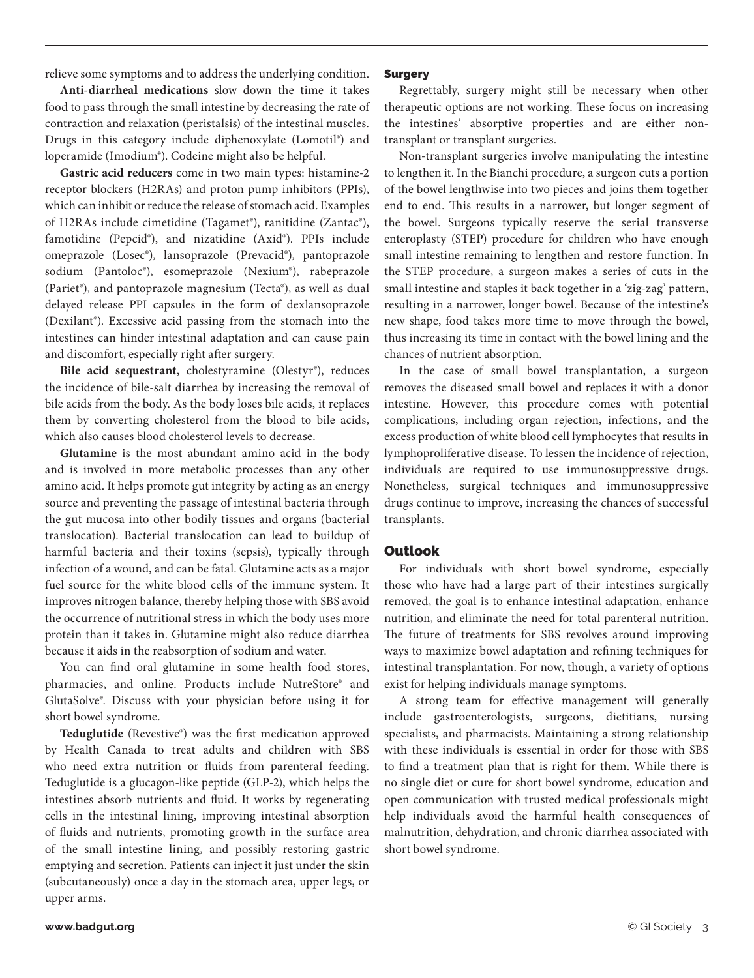**Anti-diarrheal medications** slow down the time it takes food to pass through the small intestine by decreasing the rate of contraction and relaxation (peristalsis) of the intestinal muscles. Drugs in this category include diphenoxylate (Lomotil®) and loperamide (Imodium®). Codeine might also be helpful.

**Gastric acid reducers** come in two main types: histamine-2 receptor blockers (H2RAs) and proton pump inhibitors (PPIs), which can inhibit or reduce the release of stomach acid. Examples of H2RAs include cimetidine (Tagamet®), ranitidine (Zantac®), famotidine (Pepcid®), and nizatidine (Axid®). PPIs include omeprazole (Losec®), lansoprazole (Prevacid®), pantoprazole sodium (Pantoloc®), esomeprazole (Nexium®), rabeprazole (Pariet®), and pantoprazole magnesium (Tecta®), as well as dual delayed release PPI capsules in the form of dexlansoprazole (Dexilant®). Excessive acid passing from the stomach into the intestines can hinder intestinal adaptation and can cause pain and discomfort, especially right after surgery.

**Bile acid sequestrant**, cholestyramine (Olestyr®), reduces the incidence of bile-salt diarrhea by increasing the removal of bile acids from the body. As the body loses bile acids, it replaces them by converting cholesterol from the blood to bile acids, which also causes blood cholesterol levels to decrease.

**Glutamine** is the most abundant amino acid in the body and is involved in more metabolic processes than any other amino acid. It helps promote gut integrity by acting as an energy source and preventing the passage of intestinal bacteria through the gut mucosa into other bodily tissues and organs (bacterial translocation). Bacterial translocation can lead to buildup of harmful bacteria and their toxins (sepsis), typically through infection of a wound, and can be fatal. Glutamine acts as a major fuel source for the white blood cells of the immune system. It improves nitrogen balance, thereby helping those with SBS avoid the occurrence of nutritional stress in which the body uses more protein than it takes in. Glutamine might also reduce diarrhea because it aids in the reabsorption of sodium and water.

You can find oral glutamine in some health food stores, pharmacies, and online. Products include NutreStore® and GlutaSolve®. Discuss with your physician before using it for short bowel syndrome.

**Teduglutide** (Revestive®) was the first medication approved by Health Canada to treat adults and children with SBS who need extra nutrition or fluids from parenteral feeding. Teduglutide is a glucagon-like peptide (GLP-2), which helps the intestines absorb nutrients and fluid. It works by regenerating cells in the intestinal lining, improving intestinal absorption of fluids and nutrients, promoting growth in the surface area of the small intestine lining, and possibly restoring gastric emptying and secretion. Patients can inject it just under the skin (subcutaneously) once a day in the stomach area, upper legs, or upper arms.

## Surgery

Regrettably, surgery might still be necessary when other therapeutic options are not working. These focus on increasing the intestines' absorptive properties and are either nontransplant or transplant surgeries.

Non-transplant surgeries involve manipulating the intestine to lengthen it. In the Bianchi procedure, a surgeon cuts a portion of the bowel lengthwise into two pieces and joins them together end to end. This results in a narrower, but longer segment of the bowel. Surgeons typically reserve the serial transverse enteroplasty (STEP) procedure for children who have enough small intestine remaining to lengthen and restore function. In the STEP procedure, a surgeon makes a series of cuts in the small intestine and staples it back together in a 'zig-zag' pattern, resulting in a narrower, longer bowel. Because of the intestine's new shape, food takes more time to move through the bowel, thus increasing its time in contact with the bowel lining and the chances of nutrient absorption.

In the case of small bowel transplantation, a surgeon removes the diseased small bowel and replaces it with a donor intestine. However, this procedure comes with potential complications, including organ rejection, infections, and the excess production of white blood cell lymphocytes that results in lymphoproliferative disease. To lessen the incidence of rejection, individuals are required to use immunosuppressive drugs. Nonetheless, surgical techniques and immunosuppressive drugs continue to improve, increasing the chances of successful transplants.

## Outlook

For individuals with short bowel syndrome, especially those who have had a large part of their intestines surgically removed, the goal is to enhance intestinal adaptation, enhance nutrition, and eliminate the need for total parenteral nutrition. The future of treatments for SBS revolves around improving ways to maximize bowel adaptation and refining techniques for intestinal transplantation. For now, though, a variety of options exist for helping individuals manage symptoms.

A strong team for effective management will generally include gastroenterologists, surgeons, dietitians, nursing specialists, and pharmacists. Maintaining a strong relationship with these individuals is essential in order for those with SBS to find a treatment plan that is right for them. While there is no single diet or cure for short bowel syndrome, education and open communication with trusted medical professionals might help individuals avoid the harmful health consequences of malnutrition, dehydration, and chronic diarrhea associated with short bowel syndrome.